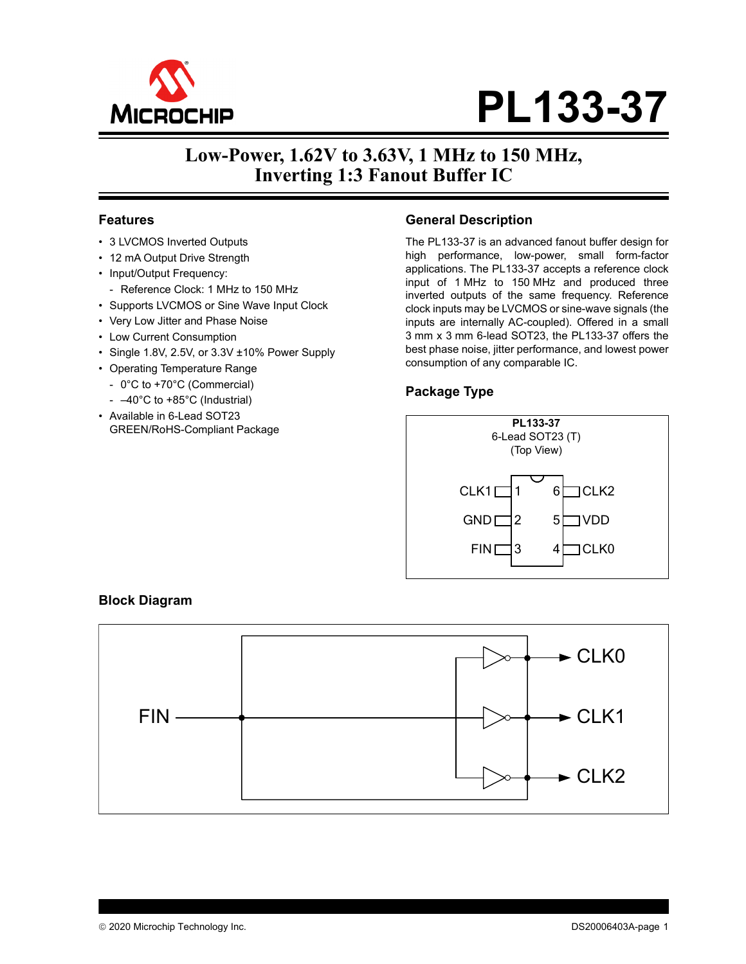

# **PL133-37**

# **Low-Power, 1.62V to 3.63V, 1 MHz to 150 MHz, Inverting 1:3 Fanout Buffer IC**

## **Features**

- 3 LVCMOS Inverted Outputs
- 12 mA Output Drive Strength
- Input/Output Frequency:
- Reference Clock: 1 MHz to 150 MHz
- Supports LVCMOS or Sine Wave Input Clock
- Very Low Jitter and Phase Noise
- Low Current Consumption
- Single 1.8V, 2.5V, or 3.3V ±10% Power Supply
- Operating Temperature Range
	- 0°C to +70°C (Commercial)
- –40°C to +85°C (Industrial)
- Available in 6-Lead SOT23 GREEN/RoHS-Compliant Package

## **General Description**

The PL133-37 is an advanced fanout buffer design for high performance, low-power, small form-factor applications. The PL133-37 accepts a reference clock input of 1 MHz to 150 MHz and produced three inverted outputs of the same frequency. Reference clock inputs may be LVCMOS or sine-wave signals (the inputs are internally AC-coupled). Offered in a small 3 mm x 3 mm 6-lead SOT23, the PL133-37 offers the best phase noise, jitter performance, and lowest power consumption of any comparable IC.

# **Package Type**



### **Block Diagram**

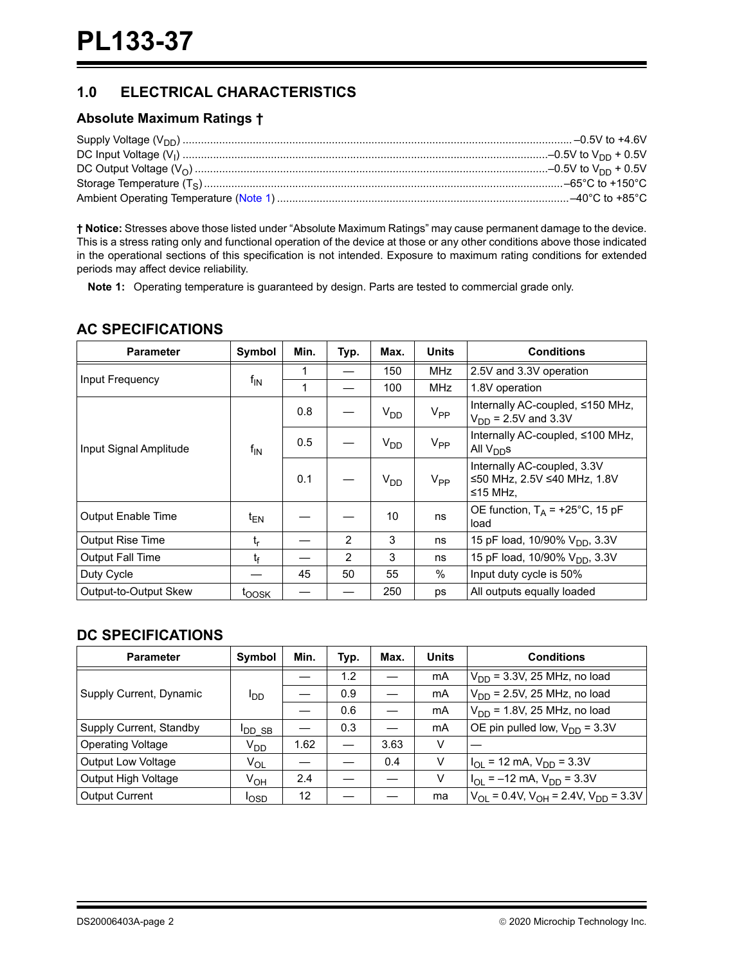# **1.0 ELECTRICAL CHARACTERISTICS**

## **Absolute Maximum Ratings †**

**† Notice:** Stresses above those listed under "Absolute Maximum Ratings" may cause permanent damage to the device. This is a stress rating only and functional operation of the device at those or any other conditions above those indicated in the operational sections of this specification is not intended. Exposure to maximum rating conditions for extended periods may affect device reliability.

**Note 1:** Operating temperature is guaranteed by design. Parts are tested to commercial grade only.

## **AC SPECIFICATIONS**

| <b>Parameter</b>       | <b>Symbol</b>     | Min. | Typ.           | Max.            | <b>Units</b>    | <b>Conditions</b>                                                      |  |
|------------------------|-------------------|------|----------------|-----------------|-----------------|------------------------------------------------------------------------|--|
| Input Frequency        | $f_{\mathsf{IN}}$ |      |                | 150             | MHz             | 2.5V and 3.3V operation                                                |  |
|                        |                   |      |                | 100             | <b>MHz</b>      | 1.8V operation                                                         |  |
|                        | $f_{\text{IN}}$   | 0.8  |                | V <sub>DD</sub> | $V_{PP}$        | Internally AC-coupled, ≤150 MHz,<br>$V_{DD}$ = 2.5V and 3.3V           |  |
| Input Signal Amplitude |                   | 0.5  |                | V <sub>DD</sub> | V <sub>PP</sub> | Internally AC-coupled, ≤100 MHz,<br>All $V_{DD}$ s                     |  |
|                        |                   | 0.1  |                | V <sub>DD</sub> | $V_{PP}$        | Internally AC-coupled, 3.3V<br>≤50 MHz, 2.5V ≤40 MHz, 1.8V<br>≤15 MHz, |  |
| Output Enable Time     | $t_{EN}$          |      |                | 10              | ns              | OE function, $T_A$ = +25°C, 15 pF<br>load                              |  |
| Output Rise Time       | $t_{r}$           |      | $\overline{2}$ | 3               | ns              | 15 pF load, 10/90% V <sub>DD</sub> , 3.3V                              |  |
| Output Fall Time       | t <sub>f</sub>    |      | 2              | 3               | ns              | 15 pF load, 10/90% V <sub>DD</sub> , 3.3V                              |  |
| Duty Cycle             |                   | 45   | 50             | 55              | $\%$            | Input duty cycle is 50%                                                |  |
| Output-to-Output Skew  | t <sub>oosk</sub> |      |                | 250             | ps              | All outputs equally loaded                                             |  |

# **DC SPECIFICATIONS**

| <b>Parameter</b>          | Symbol          | Min. | Typ. | Max. | <b>Units</b> | <b>Conditions</b>                                                        |
|---------------------------|-----------------|------|------|------|--------------|--------------------------------------------------------------------------|
|                           | סםי             |      | 1.2  |      | mA           | $V_{DD}$ = 3.3V, 25 MHz, no load                                         |
| Supply Current, Dynamic   |                 |      | 0.9  |      | mA           | $V_{DD}$ = 2.5V, 25 MHz, no load                                         |
|                           |                 |      | 0.6  |      | mA           | $V_{DD}$ = 1.8V, 25 MHz, no load                                         |
| Supply Current, Standby   | <b>I</b> DD SB  |      | 0.3  |      | mA           | OE pin pulled low, $V_{DD} = 3.3V$                                       |
| <b>Operating Voltage</b>  | V <sub>DD</sub> | 1.62 |      | 3.63 | V            |                                                                          |
| <b>Output Low Voltage</b> | $V_{OL}$        |      |      | 0.4  | V            | $I_{OL}$ = 12 mA, $V_{DD}$ = 3.3V                                        |
| Output High Voltage       | V <sub>OH</sub> | 2.4  |      |      | V            | $I_{\text{OI}} = -12 \text{ mA}$ , $V_{\text{DD}} = 3.3 \text{ V}$       |
| <b>Output Current</b>     | <b>IOSD</b>     | 12   |      |      | ma           | $V_{\text{OI}} = 0.4V$ , $V_{\text{OH}} = 2.4V$ , $V_{\text{DD}} = 3.3V$ |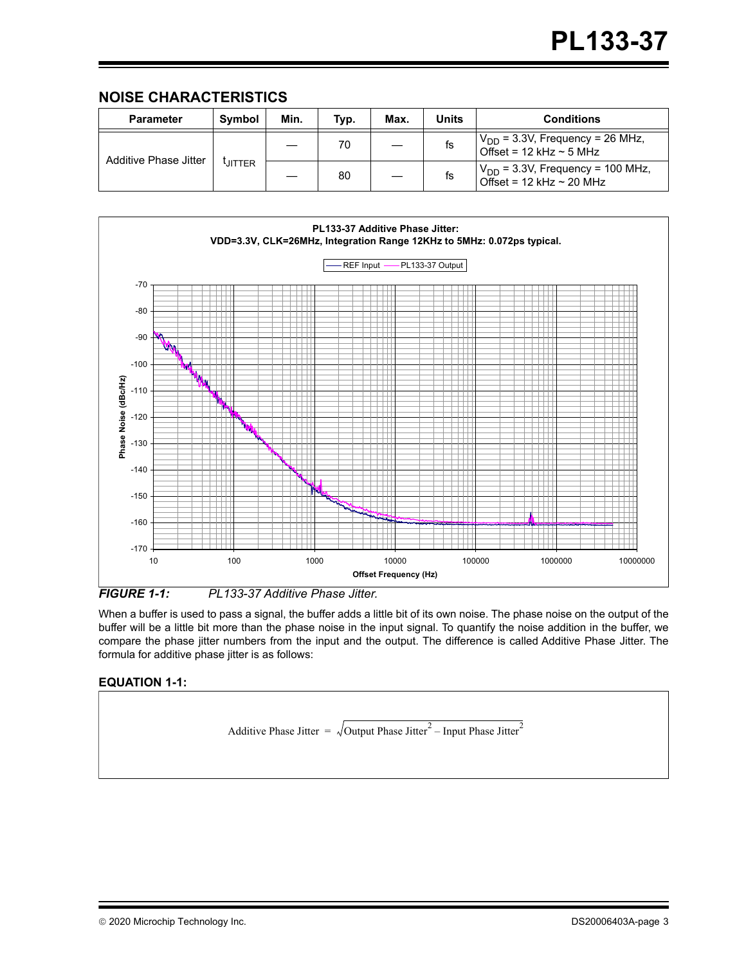# **NOISE CHARACTERISTICS**

| <b>Parameter</b>      | Symbol        | Min. | Typ. | Max. | Units | <b>Conditions</b>                                                        |
|-----------------------|---------------|------|------|------|-------|--------------------------------------------------------------------------|
| Additive Phase Jitter | <b>LITTER</b> |      | 70   |      | fs    | $V_{DD}$ = 3.3V, Frequency = 26 MHz,<br>Offset = $12$ kHz $\sim$ 5 MHz   |
|                       |               |      | 80   |      | ts    | $V_{DD}$ = 3.3V, Frequency = 100 MHz,<br>Offset = $12$ kHz $\sim$ 20 MHz |



*FIGURE 1-1: PL133-37 Additive Phase Jitter.*

When a buffer is used to pass a signal, the buffer adds a little bit of its own noise. The phase noise on the output of the buffer will be a little bit more than the phase noise in the input signal. To quantify the noise addition in the buffer, we compare the phase jitter numbers from the input and the output. The difference is called Additive Phase Jitter. The formula for additive phase jitter is as follows:

## **EQUATION 1-1:**

Additive Phase Jitter =  $\sqrt{\text{Output Phase Jitter}^2 - \text{Input Phase Jitter}^2}$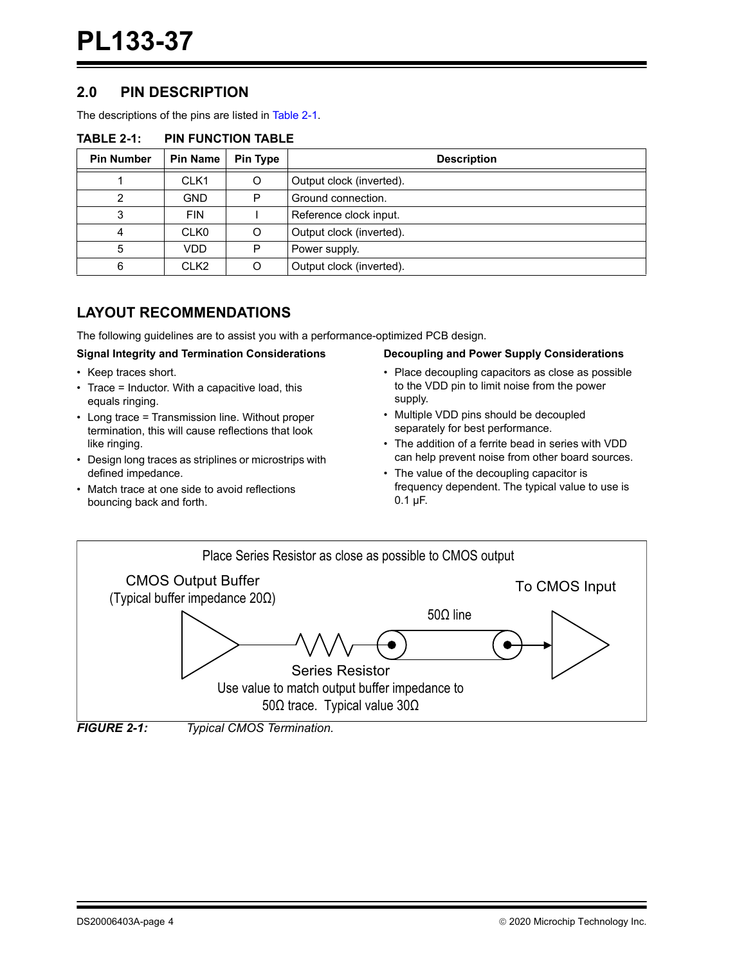# **2.0 PIN DESCRIPTION**

The descriptions of the pins are listed in Table 2-1.

| <b>Pin Number</b> | <b>Pin Name</b>  | Pin Type | <b>Description</b>       |
|-------------------|------------------|----------|--------------------------|
|                   | CLK <sub>1</sub> |          | Output clock (inverted). |
|                   | <b>GND</b>       | P        | Ground connection.       |
| 3                 | <b>FIN</b>       |          | Reference clock input.   |
|                   | CLK <sub>0</sub> |          | Output clock (inverted). |
| 5                 | VDD              | P        | Power supply.            |
| 6                 | CLK <sub>2</sub> |          | Output clock (inverted). |

#### **TABLE 2-1: PIN FUNCTION TABLE**

# **LAYOUT RECOMMENDATIONS**

The following guidelines are to assist you with a performance-optimized PCB design.

#### **Signal Integrity and Termination Considerations**

- Keep traces short.
- Trace = Inductor. With a capacitive load, this equals ringing.
- Long trace = Transmission line. Without proper termination, this will cause reflections that look like ringing.
- Design long traces as striplines or microstrips with defined impedance.
- Match trace at one side to avoid reflections bouncing back and forth.

#### **Decoupling and Power Supply Considerations**

- Place decoupling capacitors as close as possible to the VDD pin to limit noise from the power supply.
- Multiple VDD pins should be decoupled separately for best performance.
- The addition of a ferrite bead in series with VDD can help prevent noise from other board sources.
- The value of the decoupling capacitor is frequency dependent. The typical value to use is 0.1 µF.



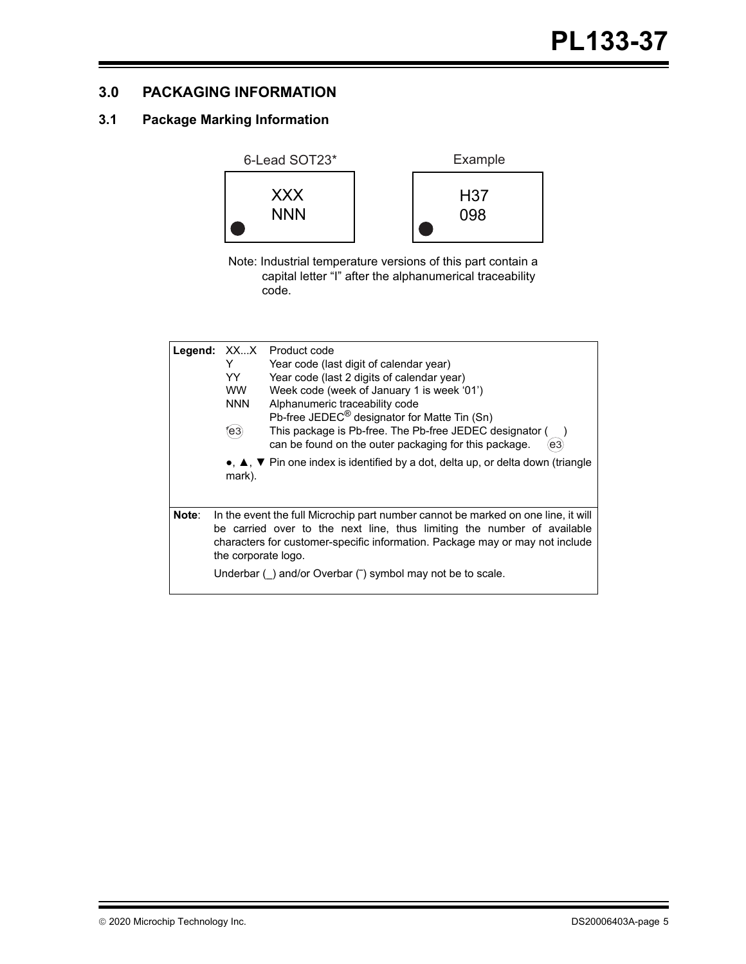# **3.0 PACKAGING INFORMATION**

# **3.1 Package Marking Information**



Note: Industrial temperature versions of this part contain a capital letter "I" after the alphanumerical traceability code.

| Legend: | XX…X<br>Y<br>YY.<br><b>WW</b><br><b>NNN</b><br>(e3) | Product code<br>Year code (last digit of calendar year)<br>Year code (last 2 digits of calendar year)<br>Week code (week of January 1 is week '01')<br>Alphanumeric traceability code<br>Pb-free JEDEC <sup>®</sup> designator for Matte Tin (Sn)<br>This package is Pb-free. The Pb-free JEDEC designator (<br>can be found on the outer packaging for this package.<br>e3)<br>•, ▲, ▼ Pin one index is identified by a dot, delta up, or delta down (triangle |
|---------|-----------------------------------------------------|-----------------------------------------------------------------------------------------------------------------------------------------------------------------------------------------------------------------------------------------------------------------------------------------------------------------------------------------------------------------------------------------------------------------------------------------------------------------|
| Note:   | mark).                                              | In the event the full Microchip part number cannot be marked on one line, it will<br>be carried over to the next line, thus limiting the number of available                                                                                                                                                                                                                                                                                                    |
|         | the corporate logo.                                 | characters for customer-specific information. Package may or may not include<br>Underbar () and/or Overbar (") symbol may not be to scale.                                                                                                                                                                                                                                                                                                                      |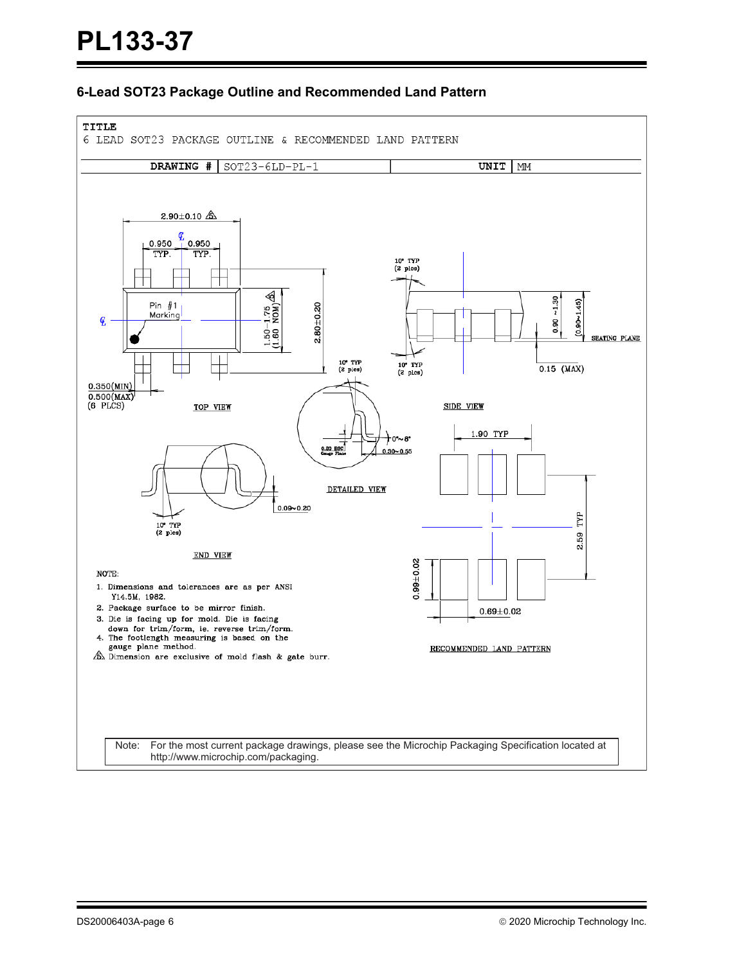## **6-Lead SOT23 Package Outline and Recommended Land Pattern**

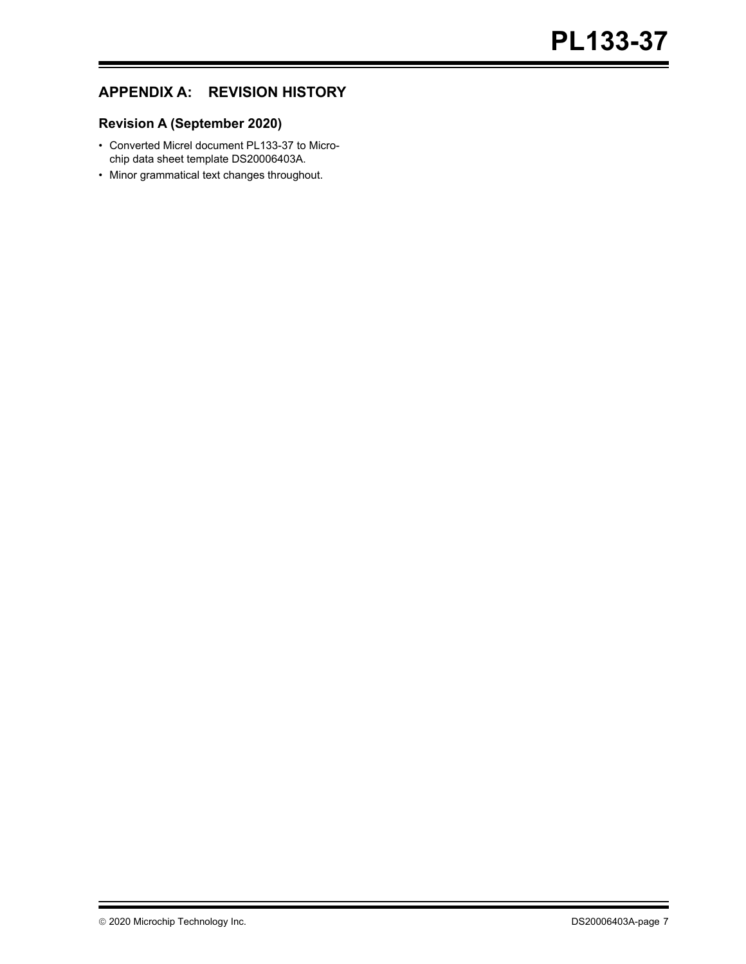# **APPENDIX A: REVISION HISTORY**

# **Revision A (September 2020)**

- Converted Micrel document PL133-37 to Microchip data sheet template DS20006403A.
- Minor grammatical text changes throughout.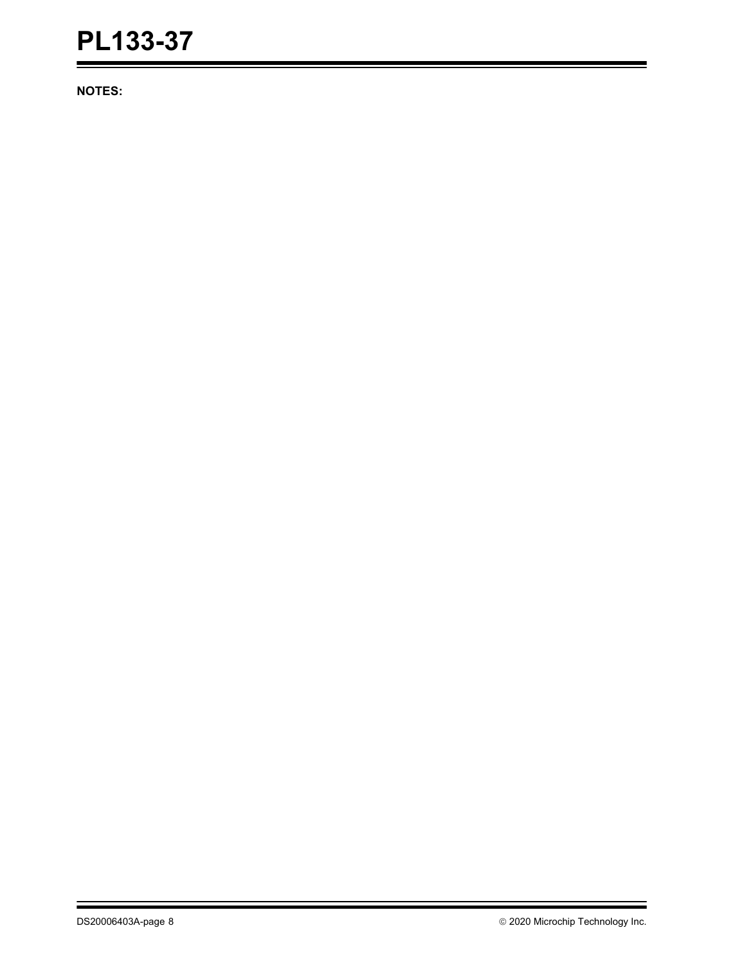**NOTES:**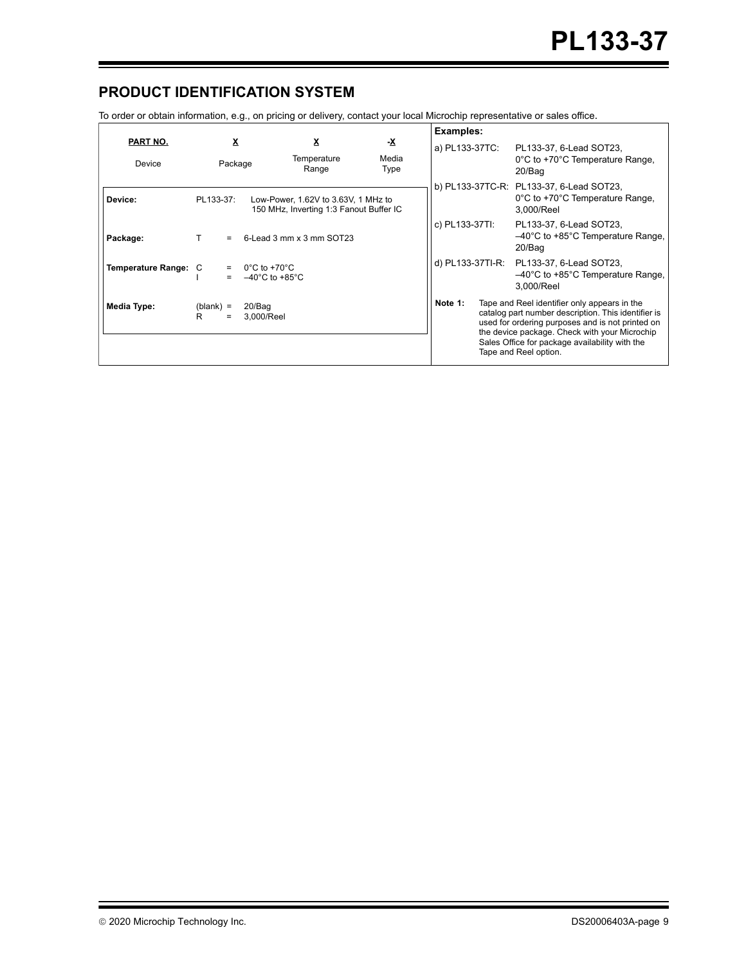# **PRODUCT IDENTIFICATION SYSTEM**

To order or obtain information, e.g., on pricing or delivery, contact your local Microchip representative or sales office.

|                           |                                   |                                                                                | Examples:                  |                |  |                                                                                                                                                                                                                                                                                     |
|---------------------------|-----------------------------------|--------------------------------------------------------------------------------|----------------------------|----------------|--|-------------------------------------------------------------------------------------------------------------------------------------------------------------------------------------------------------------------------------------------------------------------------------------|
| PART NO.<br>Device        | X<br>Package                      | <u>x</u><br>Temperature<br>Range                                               | <u>-х</u><br>Media<br>Type | a) PL133-37TC: |  | PL133-37, 6-Lead SOT23,<br>0°C to +70°C Temperature Range,<br>20/Bag                                                                                                                                                                                                                |
| Device:                   | PL133-37:                         | Low-Power, 1.62V to 3.63V, 1 MHz to<br>150 MHz, Inverting 1:3 Fanout Buffer IC |                            |                |  | b) PL133-37TC-R: PL133-37, 6-Lead SOT23,<br>0°C to +70°C Temperature Range,<br>3.000/Reel                                                                                                                                                                                           |
| Package:                  |                                   | 6-Lead 3 mm x 3 mm SOT23                                                       |                            | c) PL133-37TI: |  | PL133-37, 6-Lead SOT23,<br>$-40^{\circ}$ C to +85 $^{\circ}$ C Temperature Range,<br>20/Bag                                                                                                                                                                                         |
| <b>Temperature Range:</b> | C<br>$=$                          | $0^{\circ}$ C to +70 $^{\circ}$ C<br>$-40^{\circ}$ C to +85 $^{\circ}$ C       |                            |                |  | d) PL133-37TI-R: PL133-37, 6-Lead SOT23,<br>$-40^{\circ}$ C to +85 $^{\circ}$ C Temperature Range,<br>3.000/Reel                                                                                                                                                                    |
| Media Type:               | 20/Bag<br>$(blank) =$<br>R<br>$=$ | 3.000/Reel                                                                     |                            | Note 1:        |  | Tape and Reel identifier only appears in the<br>catalog part number description. This identifier is<br>used for ordering purposes and is not printed on<br>the device package. Check with your Microchip<br>Sales Office for package availability with the<br>Tape and Reel option. |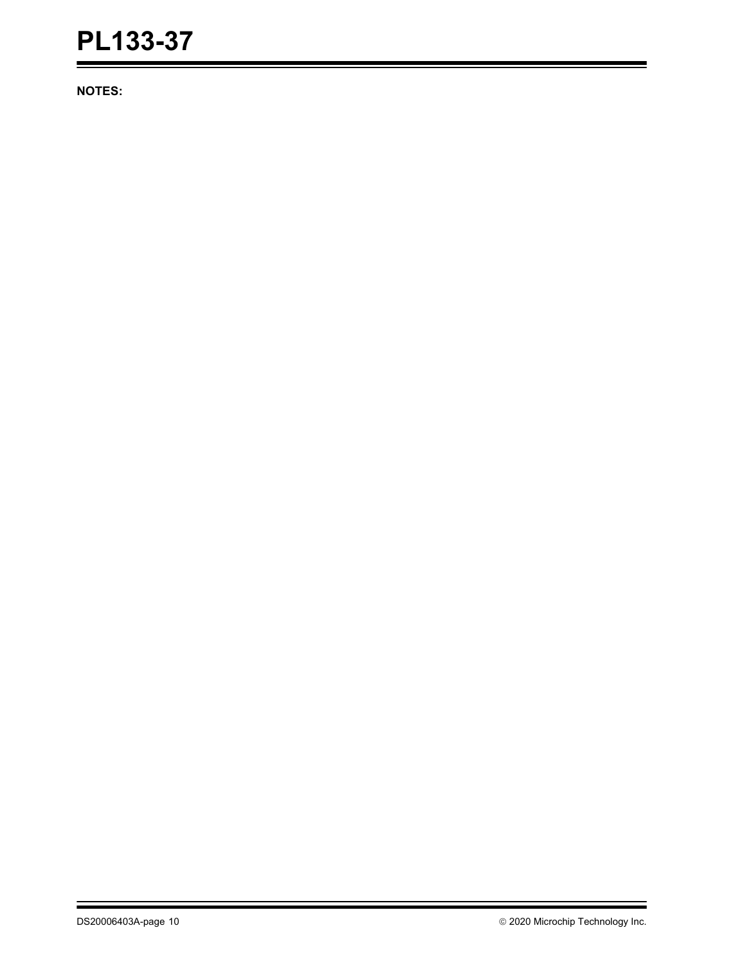**NOTES:**